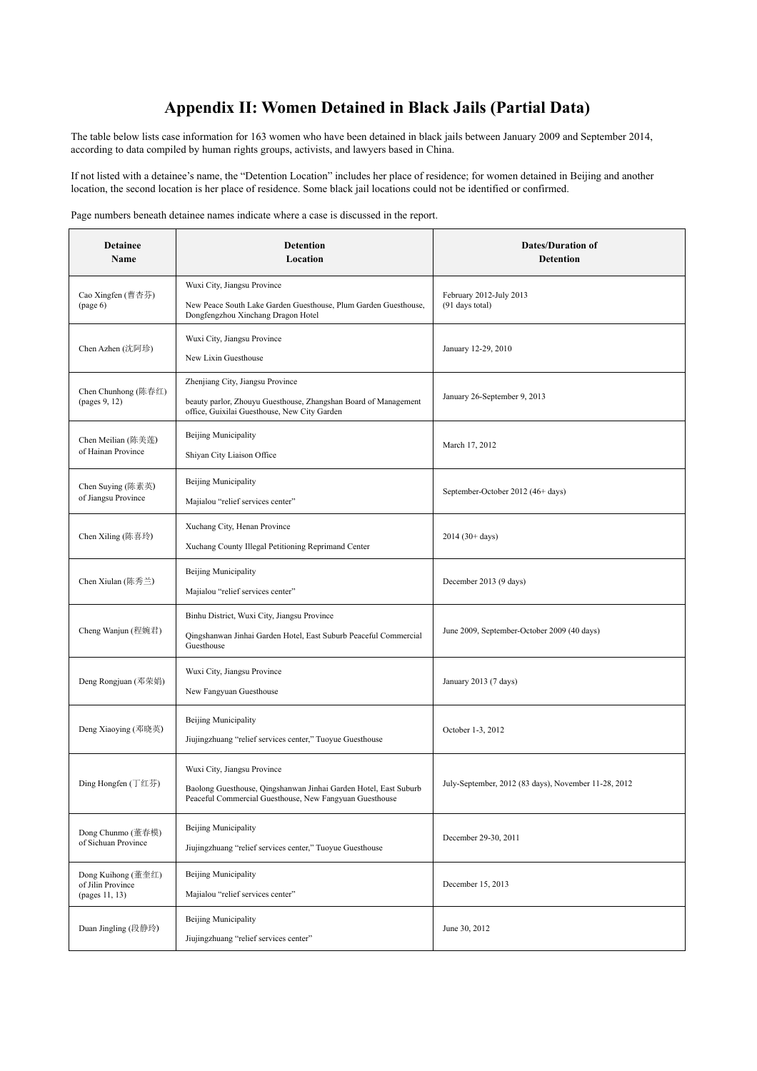## **Appendix II: Women Detained in Black Jails (Partial Data)**

The table below lists case information for 163 women who have been detained in black jails between January 2009 and September 2014, according to data compiled by human rights groups, activists, and lawyers based in China.

If not listed with a detainee's name, the "Detention Location" includes her place of residence; for women detained in Beijing and another location, the second location is her place of residence. Some black jail locations could not be identified or confirmed.

Page numbers beneath detainee names indicate where a case is discussed in the report.

| <b>Detainee</b><br>Name                                   | <b>Detention</b><br>Location                                                                                                                               | <b>Dates/Duration of</b><br><b>Detention</b>         |
|-----------------------------------------------------------|------------------------------------------------------------------------------------------------------------------------------------------------------------|------------------------------------------------------|
| Cao Xingfen (曹杏芬)<br>(page 6)                             | Wuxi City, Jiangsu Province<br>New Peace South Lake Garden Guesthouse, Plum Garden Guesthouse,<br>Dongfengzhou Xinchang Dragon Hotel                       | February 2012-July 2013<br>(91 days total)           |
| Chen Azhen (沈阿珍)                                          | Wuxi City, Jiangsu Province<br>New Lixin Guesthouse                                                                                                        | January 12-29, 2010                                  |
| Chen Chunhong (陈春红)<br>(pages 9, 12)                      | Zhenjiang City, Jiangsu Province<br>beauty parlor, Zhouyu Guesthouse, Zhangshan Board of Management<br>office, Guixilai Guesthouse, New City Garden        | January 26-September 9, 2013                         |
| Chen Meilian (陈美莲)<br>of Hainan Province                  | Beijing Municipality<br>Shiyan City Liaison Office                                                                                                         | March 17, 2012                                       |
| Chen Suying (陈素英)<br>of Jiangsu Province                  | Beijing Municipality<br>Majialou "relief services center"                                                                                                  | September-October 2012 (46+ days)                    |
| Chen Xiling (陈喜玲)                                         | Xuchang City, Henan Province<br>Xuchang County Illegal Petitioning Reprimand Center                                                                        | $2014(30 + days)$                                    |
| Chen Xiulan (陈秀兰)                                         | <b>Beijing Municipality</b><br>Majialou "relief services center"                                                                                           | December 2013 (9 days)                               |
| Cheng Wanjun (程婉君)                                        | Binhu District, Wuxi City, Jiangsu Province<br>Qingshanwan Jinhai Garden Hotel, East Suburb Peaceful Commercial<br>Guesthouse                              | June 2009, September-October 2009 (40 days)          |
| Deng Rongjuan (邓荣娟)                                       | Wuxi City, Jiangsu Province<br>New Fangyuan Guesthouse                                                                                                     | January 2013 (7 days)                                |
| Deng Xiaoying (邓晓英)                                       | <b>Beijing Municipality</b><br>Jiujingzhuang "relief services center," Tuoyue Guesthouse                                                                   | October 1-3, 2012                                    |
| Ding Hongfen (丁红芬)                                        | Wuxi City, Jiangsu Province<br>Baolong Guesthouse, Qingshanwan Jinhai Garden Hotel, East Suburb<br>Peaceful Commercial Guesthouse, New Fangyuan Guesthouse | July-September, 2012 (83 days), November 11-28, 2012 |
| Dong Chunmo (董春模)<br>of Sichuan Province                  | <b>Beijing Municipality</b><br>Jiujingzhuang "relief services center," Tuoyue Guesthouse                                                                   | December 29-30, 2011                                 |
| Dong Kuihong (董奎红)<br>of Jilin Province<br>(pages 11, 13) | <b>Beijing Municipality</b><br>Majialou "relief services center"                                                                                           | December 15, 2013                                    |
| Duan Jingling (段静玲)                                       | <b>Beijing Municipality</b><br>Jiujingzhuang "relief services center"                                                                                      | June 30, 2012                                        |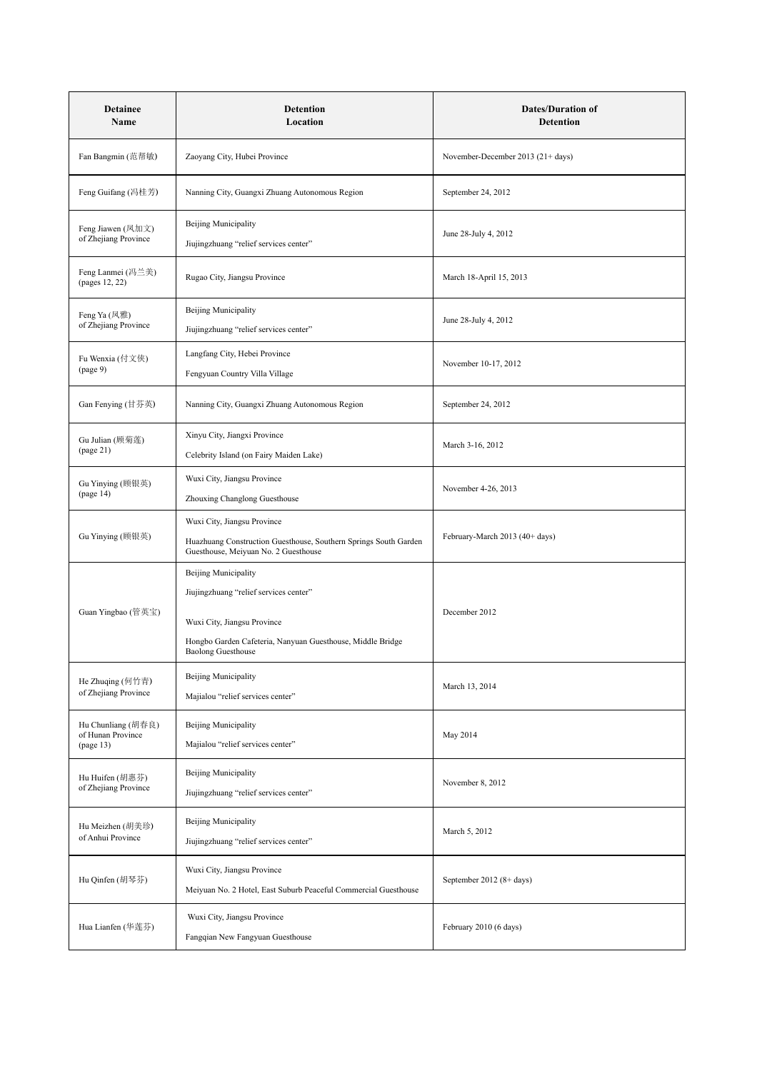| <b>Detainee</b><br>Name                              | <b>Detention</b><br>Location                                                                                                                                                                    | <b>Dates/Duration of</b><br>Detention |
|------------------------------------------------------|-------------------------------------------------------------------------------------------------------------------------------------------------------------------------------------------------|---------------------------------------|
| Fan Bangmin (范帮敏)                                    | Zaoyang City, Hubei Province                                                                                                                                                                    | November-December 2013 (21+ days)     |
| Feng Guifang (冯桂芳)                                   | Nanning City, Guangxi Zhuang Autonomous Region                                                                                                                                                  | September 24, 2012                    |
| Feng Jiawen (凤加文)<br>of Zhejiang Province            | <b>Beijing Municipality</b><br>Jiujingzhuang "relief services center"                                                                                                                           | June 28-July 4, 2012                  |
| Feng Lanmei (冯兰美)<br>(pages 12, 22)                  | Rugao City, Jiangsu Province                                                                                                                                                                    | March 18-April 15, 2013               |
| Feng Ya (凤雅)<br>of Zhejiang Province                 | <b>Beijing Municipality</b><br>Jiujingzhuang "relief services center"                                                                                                                           | June 28-July 4, 2012                  |
| Fu Wenxia (付文侠)<br>(page 9)                          | Langfang City, Hebei Province<br>Fengyuan Country Villa Village                                                                                                                                 | November 10-17, 2012                  |
| Gan Fenying (甘芬英)                                    | Nanning City, Guangxi Zhuang Autonomous Region                                                                                                                                                  | September 24, 2012                    |
| Gu Julian (顾菊莲)<br>(page 21)                         | Xinyu City, Jiangxi Province<br>Celebrity Island (on Fairy Maiden Lake)                                                                                                                         | March 3-16, 2012                      |
| Gu Yinying (顾银英)<br>(page 14)                        | Wuxi City, Jiangsu Province<br>Zhouxing Changlong Guesthouse                                                                                                                                    | November 4-26, 2013                   |
| Gu Yinying (顾银英)                                     | Wuxi City, Jiangsu Province<br>Huazhuang Construction Guesthouse, Southern Springs South Garden<br>Guesthouse, Meiyuan No. 2 Guesthouse                                                         | February-March 2013 (40+ days)        |
| Guan Yingbao (管英宝)                                   | <b>Beijing Municipality</b><br>Jiujingzhuang "relief services center"<br>Wuxi City, Jiangsu Province<br>Hongbo Garden Cafeteria, Nanyuan Guesthouse, Middle Bridge<br><b>Baolong Guesthouse</b> | December 2012                         |
| He Zhuqing (何竹青)<br>of Zhejiang Province             | <b>Beijing Municipality</b><br>Majialou "relief services center"                                                                                                                                | March 13, 2014                        |
| Hu Chunliang (胡春良)<br>of Hunan Province<br>(page 13) | <b>Beijing Municipality</b><br>Majialou "relief services center"                                                                                                                                | May 2014                              |
| Hu Huifen (胡惠芬)<br>of Zhejiang Province              | <b>Beijing Municipality</b><br>Jiujingzhuang "relief services center"                                                                                                                           | November 8, 2012                      |
| Hu Meizhen (胡美珍)<br>of Anhui Province                | <b>Beijing Municipality</b><br>Jiujingzhuang "relief services center"                                                                                                                           | March 5, 2012                         |
| Hu Qinfen (胡琴芬)                                      | Wuxi City, Jiangsu Province<br>Meiyuan No. 2 Hotel, East Suburb Peaceful Commercial Guesthouse                                                                                                  | September 2012 (8+ days)              |
| Hua Lianfen (华莲芬)                                    | Wuxi City, Jiangsu Province<br>Fangqian New Fangyuan Guesthouse                                                                                                                                 | February 2010 (6 days)                |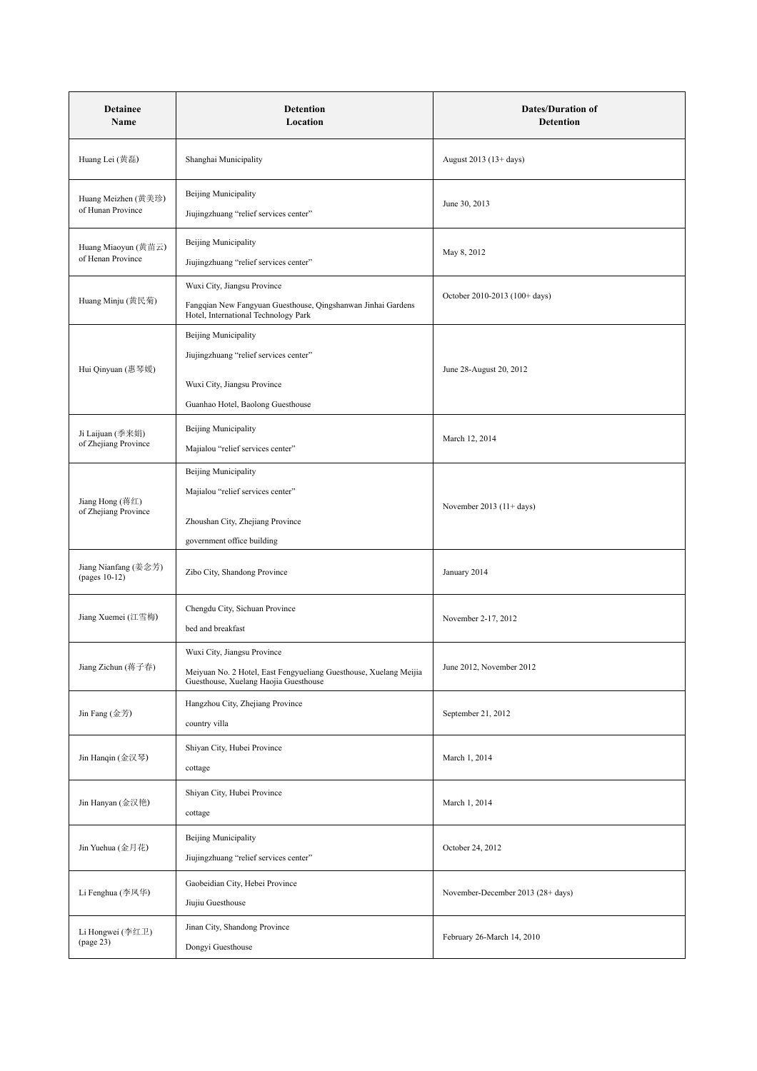| <b>Detainee</b><br>Name                  | <b>Detention</b><br>Location                                                                                                              | <b>Dates/Duration of</b><br><b>Detention</b> |
|------------------------------------------|-------------------------------------------------------------------------------------------------------------------------------------------|----------------------------------------------|
| Huang Lei (黄磊)                           | Shanghai Municipality                                                                                                                     | August 2013 (13+ days)                       |
| Huang Meizhen (黄美珍)<br>of Hunan Province | <b>Beijing Municipality</b><br>Jiujingzhuang "relief services center"                                                                     | June 30, 2013                                |
| Huang Miaoyun (黄苗云)<br>of Henan Province | <b>Beijing Municipality</b><br>Jiujingzhuang "relief services center"                                                                     | May 8, 2012                                  |
| Huang Minju (黄民菊)                        | Wuxi City, Jiangsu Province<br>Fangqian New Fangyuan Guesthouse, Qingshanwan Jinhai Gardens<br>Hotel, International Technology Park       | October 2010-2013 (100+ days)                |
| Hui Qinyuan (惠琴媛)                        | <b>Beijing Municipality</b><br>Jiujingzhuang "relief services center"<br>Wuxi City, Jiangsu Province<br>Guanhao Hotel, Baolong Guesthouse | June 28-August 20, 2012                      |
| Ji Laijuan (季来娟)<br>of Zhejiang Province | <b>Beijing Municipality</b><br>Majialou "relief services center"                                                                          | March 12, 2014                               |
| Jiang Hong (蒋红)<br>of Zhejiang Province  | <b>Beijing Municipality</b><br>Majialou "relief services center"<br>Zhoushan City, Zhejiang Province<br>government office building        | November 2013 $(11 + days)$                  |
| Jiang Nianfang (姜念芳)<br>(pages 10-12)    | Zibo City, Shandong Province                                                                                                              | January 2014                                 |
| Jiang Xuemei (江雪梅)                       | Chengdu City, Sichuan Province<br>bed and breakfast                                                                                       | November 2-17, 2012                          |
| Jiang Zichun (蒋子春)                       | Wuxi City, Jiangsu Province<br>Meiyuan No. 2 Hotel, East Fengyueliang Guesthouse, Xuelang Meijia<br>Guesthouse, Xuelang Haojia Guesthouse | June 2012, November 2012                     |
| Jin Fang (金芳)                            | Hangzhou City, Zhejiang Province<br>country villa                                                                                         | September 21, 2012                           |
| Jin Hanqin (金汉琴)                         | Shiyan City, Hubei Province<br>cottage                                                                                                    | March 1, 2014                                |
| Jin Hanyan (金汉艳)                         | Shiyan City, Hubei Province<br>cottage                                                                                                    | March 1, 2014                                |
| Jin Yuehua (金月花)                         | <b>Beijing Municipality</b><br>Jiujingzhuang "relief services center"                                                                     | October 24, 2012                             |
| Li Fenghua (李凤华)                         | Gaobeidian City, Hebei Province<br>Jiujiu Guesthouse                                                                                      | November-December 2013 (28+ days)            |
| Li Hongwei (李红卫)<br>(page 23)            | Jinan City, Shandong Province<br>Dongyi Guesthouse                                                                                        | February 26-March 14, 2010                   |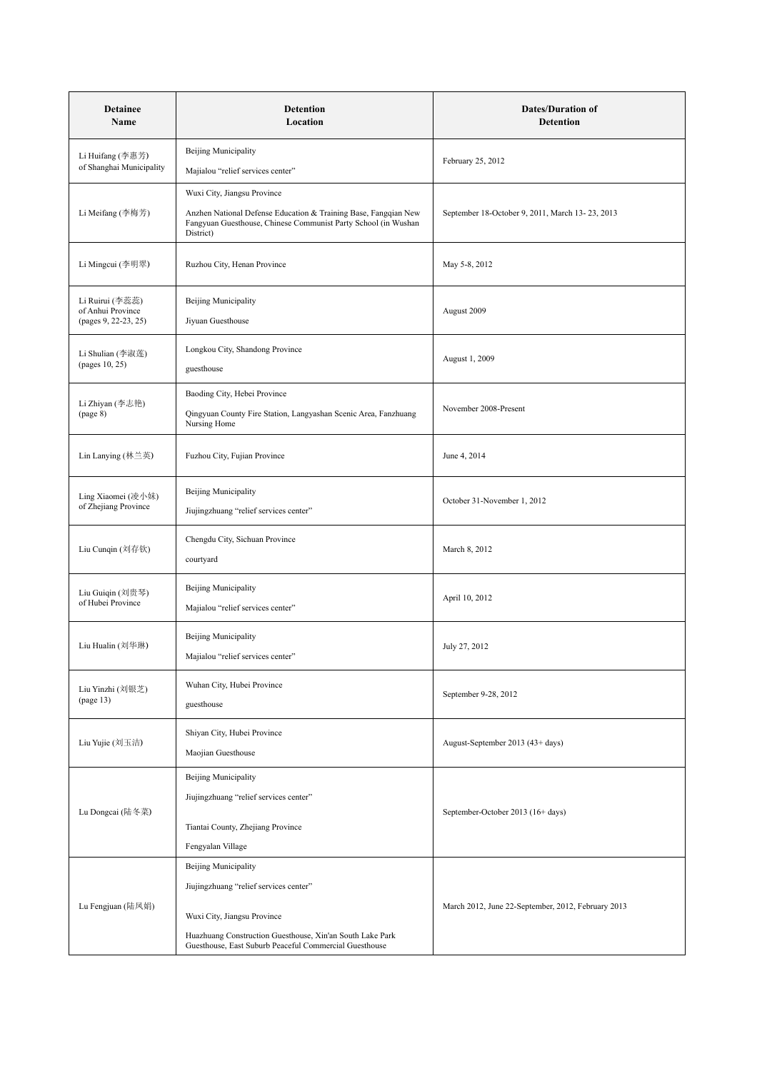| <b>Detainee</b><br>Name                                      | <b>Detention</b><br>Location                                                                                                                                                                                         | <b>Dates/Duration of</b><br>Detention              |
|--------------------------------------------------------------|----------------------------------------------------------------------------------------------------------------------------------------------------------------------------------------------------------------------|----------------------------------------------------|
| Li Huifang (李惠芳)<br>of Shanghai Municipality                 | <b>Beijing Municipality</b><br>Majialou "relief services center"                                                                                                                                                     | February 25, 2012                                  |
|                                                              | Wuxi City, Jiangsu Province                                                                                                                                                                                          |                                                    |
| Li Meifang (李梅芳)                                             | Anzhen National Defense Education & Training Base, Fangqian New<br>Fangyuan Guesthouse, Chinese Communist Party School (in Wushan<br>District)                                                                       | September 18-October 9, 2011, March 13-23, 2013    |
| Li Mingcui (李明翠)                                             | Ruzhou City, Henan Province                                                                                                                                                                                          | May 5-8, 2012                                      |
| Li Ruirui (李蕊蕊)<br>of Anhui Province<br>(pages 9, 22-23, 25) | <b>Beijing Municipality</b><br>Jiyuan Guesthouse                                                                                                                                                                     | August 2009                                        |
| Li Shulian (李淑莲)<br>(pages 10, 25)                           | Longkou City, Shandong Province<br>guesthouse                                                                                                                                                                        | August 1, 2009                                     |
| Li Zhiyan (李志艳)<br>(page 8)                                  | Baoding City, Hebei Province<br>Qingyuan County Fire Station, Langyashan Scenic Area, Fanzhuang<br>Nursing Home                                                                                                      | November 2008-Present                              |
| Lin Lanying (林兰英)                                            | Fuzhou City, Fujian Province                                                                                                                                                                                         | June 4, 2014                                       |
| Ling Xiaomei (凌小妹)<br>of Zhejiang Province                   | <b>Beijing Municipality</b><br>Jiujingzhuang "relief services center"                                                                                                                                                | October 31-November 1, 2012                        |
| Liu Cunqin (刘存钦)                                             | Chengdu City, Sichuan Province<br>courtyard                                                                                                                                                                          | March 8, 2012                                      |
| Liu Guiqin (刘贵琴)<br>of Hubei Province                        | <b>Beijing Municipality</b><br>Majialou "relief services center"                                                                                                                                                     | April 10, 2012                                     |
| Liu Hualin (刘华琳)                                             | <b>Beijing Municipality</b><br>Majialou "relief services center"                                                                                                                                                     | July 27, 2012                                      |
| Liu Yinzhi (刘银芝)<br>(page 13)                                | Wuhan City, Hubei Province<br>guesthouse                                                                                                                                                                             | September 9-28, 2012                               |
| Liu Yujie (刘玉洁)                                              | Shiyan City, Hubei Province<br>Maojian Guesthouse                                                                                                                                                                    | August-September 2013 (43+ days)                   |
| Lu Dongcai (陆冬菜)                                             | Beijing Municipality<br>Jiujingzhuang "relief services center"<br>Tiantai County, Zhejiang Province<br>Fengyalan Village                                                                                             | September-October 2013 (16+ days)                  |
| Lu Fengjuan (陆凤娟)                                            | Beijing Municipality<br>Jiujingzhuang "relief services center"<br>Wuxi City, Jiangsu Province<br>Huazhuang Construction Guesthouse, Xin'an South Lake Park<br>Guesthouse, East Suburb Peaceful Commercial Guesthouse | March 2012, June 22-September, 2012, February 2013 |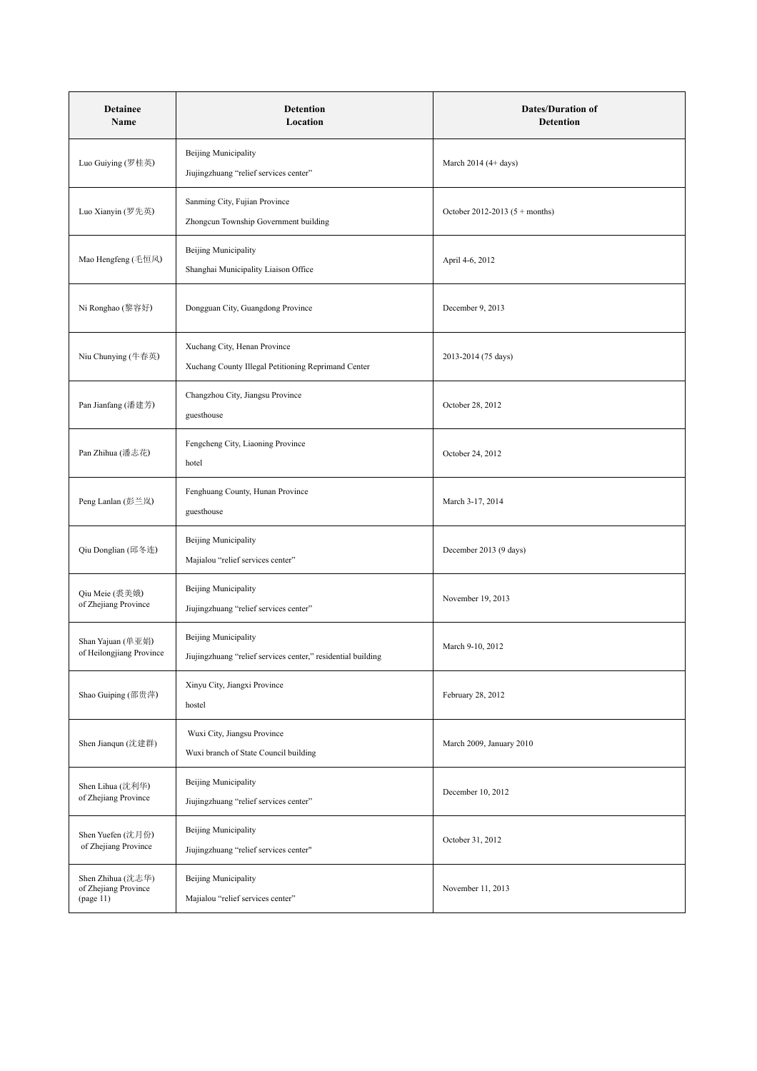| <b>Detainee</b><br>Name                                | <b>Detention</b><br>Location                                                         | <b>Dates/Duration of</b><br><b>Detention</b> |
|--------------------------------------------------------|--------------------------------------------------------------------------------------|----------------------------------------------|
| Luo Guiying (罗桂英)                                      | <b>Beijing Municipality</b><br>Jiujingzhuang "relief services center"                | March $2014(4 + days)$                       |
| Luo Xianyin (罗先英)                                      | Sanming City, Fujian Province<br>Zhongcun Township Government building               | October 2012-2013 $(5 + months)$             |
| Mao Hengfeng (毛恒风)                                     | Beijing Municipality<br>Shanghai Municipality Liaison Office                         | April 4-6, 2012                              |
| Ni Ronghao (黎容好)                                       | Dongguan City, Guangdong Province                                                    | December 9, 2013                             |
| Niu Chunying (牛春英)                                     | Xuchang City, Henan Province<br>Xuchang County Illegal Petitioning Reprimand Center  | 2013-2014 (75 days)                          |
| Pan Jianfang (潘建芳)                                     | Changzhou City, Jiangsu Province<br>guesthouse                                       | October 28, 2012                             |
| Pan Zhihua (潘志花)                                       | Fengcheng City, Liaoning Province<br>hotel                                           | October 24, 2012                             |
| Peng Lanlan (彭兰岚)                                      | Fenghuang County, Hunan Province<br>guesthouse                                       | March 3-17, 2014                             |
| Qiu Donglian (邱冬连)                                     | <b>Beijing Municipality</b><br>Majialou "relief services center"                     | December 2013 (9 days)                       |
| Qiu Meie (裘美娥)<br>of Zhejiang Province                 | <b>Beijing Municipality</b><br>Jiujingzhuang "relief services center"                | November 19, 2013                            |
| Shan Yajuan (单亚娟)<br>of Heilongjiang Province          | Beijing Municipality<br>Jiujingzhuang "relief services center," residential building | March 9-10, 2012                             |
| Shao Guiping (邵贵萍)                                     | Xinyu City, Jiangxi Province<br>hostel                                               | February 28, 2012                            |
| Shen Jianqun (沈建群)                                     | Wuxi City, Jiangsu Province<br>Wuxi branch of State Council building                 | March 2009, January 2010                     |
| Shen Lihua (沈利华)<br>of Zhejiang Province               | <b>Beijing Municipality</b><br>Jiujingzhuang "relief services center"                | December 10, 2012                            |
| Shen Yuefen (沈月份)<br>of Zhejiang Province              | <b>Beijing Municipality</b><br>Jiujingzhuang "relief services center"                | October 31, 2012                             |
| Shen Zhihua (沈志华)<br>of Zhejiang Province<br>(page 11) | Beijing Municipality<br>Majialou "relief services center"                            | November 11, 2013                            |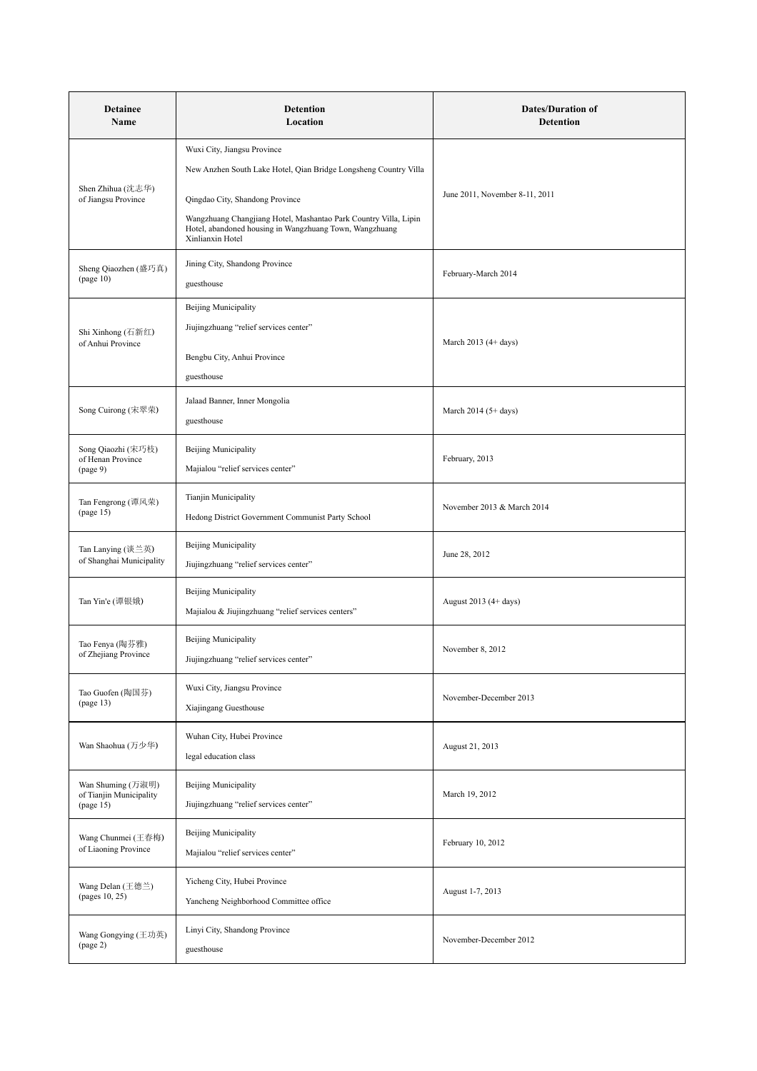| <b>Detainee</b><br>Name                                   | <b>Detention</b><br>Location                                                                                                                                                                                                                                                          | <b>Dates/Duration of</b><br><b>Detention</b> |
|-----------------------------------------------------------|---------------------------------------------------------------------------------------------------------------------------------------------------------------------------------------------------------------------------------------------------------------------------------------|----------------------------------------------|
| Shen Zhihua (沈志华)<br>of Jiangsu Province                  | Wuxi City, Jiangsu Province<br>New Anzhen South Lake Hotel, Qian Bridge Longsheng Country Villa<br>Qingdao City, Shandong Province<br>Wangzhuang Changjiang Hotel, Mashantao Park Country Villa, Lipin<br>Hotel, abandoned housing in Wangzhuang Town, Wangzhuang<br>Xinlianxin Hotel | June 2011, November 8-11, 2011               |
| Sheng Qiaozhen (盛巧真)<br>(page 10)                         | Jining City, Shandong Province<br>guesthouse                                                                                                                                                                                                                                          | February-March 2014                          |
| Shi Xinhong (石新红)<br>of Anhui Province                    | Beijing Municipality<br>Jiujingzhuang "relief services center"<br>Bengbu City, Anhui Province<br>guesthouse                                                                                                                                                                           | March $2013(4 + days)$                       |
| Song Cuirong (宋翠荣)                                        | Jalaad Banner, Inner Mongolia<br>guesthouse                                                                                                                                                                                                                                           | March $2014$ (5+ days)                       |
| Song Qiaozhi (宋巧枝)<br>of Henan Province<br>(page 9)       | <b>Beijing Municipality</b><br>Majialou "relief services center"                                                                                                                                                                                                                      | February, 2013                               |
| Tan Fengrong (谭风荣)<br>(page 15)                           | Tianjin Municipality<br>Hedong District Government Communist Party School                                                                                                                                                                                                             | November 2013 & March 2014                   |
| Tan Lanying (谈兰英)<br>of Shanghai Municipality             | <b>Beijing Municipality</b><br>Jiujingzhuang "relief services center"                                                                                                                                                                                                                 | June 28, 2012                                |
| Tan Yin'e (谭银娥)                                           | <b>Beijing Municipality</b><br>Majialou & Jiujingzhuang "relief services centers"                                                                                                                                                                                                     | August 2013 (4+ days)                        |
| Tao Fenya (陶芬雅)<br>of Zhejiang Province                   | <b>Beijing Municipality</b><br>Jiujingzhuang "relief services center"                                                                                                                                                                                                                 | November 8, 2012                             |
| Tao Guofen (陶国芬)<br>(page 13)                             | Wuxi City, Jiangsu Province<br>Xiajingang Guesthouse                                                                                                                                                                                                                                  | November-December 2013                       |
| Wan Shaohua (万少华)                                         | Wuhan City, Hubei Province<br>legal education class                                                                                                                                                                                                                                   | August 21, 2013                              |
| Wan Shuming (万淑明)<br>of Tianjin Municipality<br>(page 15) | <b>Beijing Municipality</b><br>Jiujingzhuang "relief services center"                                                                                                                                                                                                                 | March 19, 2012                               |
| Wang Chunmei (王春梅)<br>of Liaoning Province                | <b>Beijing Municipality</b><br>Majialou "relief services center"                                                                                                                                                                                                                      | February 10, 2012                            |
| Wang Delan (王德兰)<br>(pages 10, 25)                        | Yicheng City, Hubei Province<br>Yancheng Neighborhood Committee office                                                                                                                                                                                                                | August 1-7, 2013                             |
| Wang Gongying (王功英)<br>(page 2)                           | Linyi City, Shandong Province<br>guesthouse                                                                                                                                                                                                                                           | November-December 2012                       |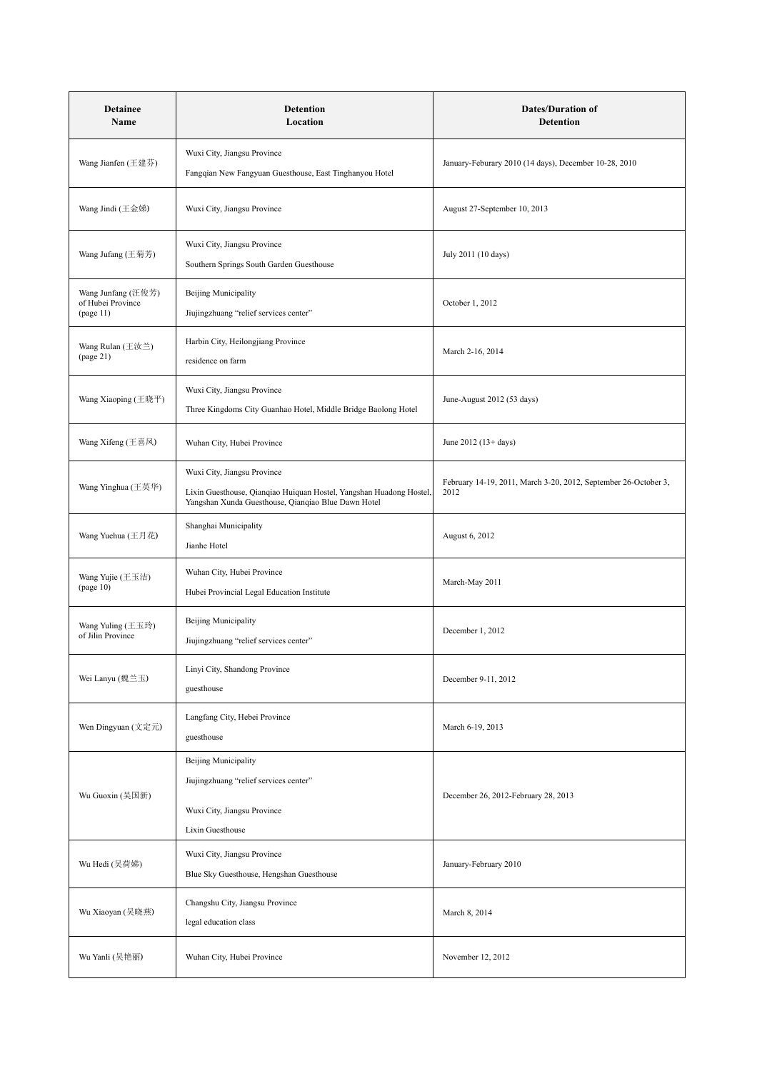| <b>Detainee</b><br>Name                              | <b>Detention</b><br>Location                                                                                                                              | <b>Dates/Duration of</b><br>Detention                                   |
|------------------------------------------------------|-----------------------------------------------------------------------------------------------------------------------------------------------------------|-------------------------------------------------------------------------|
| Wang Jianfen (王建芬)                                   | Wuxi City, Jiangsu Province<br>Fangqian New Fangyuan Guesthouse, East Tinghanyou Hotel                                                                    | January-Feburary 2010 (14 days), December 10-28, 2010                   |
| Wang Jindi (王金娣)                                     | Wuxi City, Jiangsu Province                                                                                                                               | August 27-September 10, 2013                                            |
| Wang Jufang (王菊芳)                                    | Wuxi City, Jiangsu Province<br>Southern Springs South Garden Guesthouse                                                                                   | July 2011 (10 days)                                                     |
| Wang Junfang (汪俊芳)<br>of Hubei Province<br>(page 11) | <b>Beijing Municipality</b><br>Jiujingzhuang "relief services center"                                                                                     | October 1, 2012                                                         |
| Wang Rulan (王汝兰)<br>(page 21)                        | Harbin City, Heilongjiang Province<br>residence on farm                                                                                                   | March 2-16, 2014                                                        |
| Wang Xiaoping (王晓平)                                  | Wuxi City, Jiangsu Province<br>Three Kingdoms City Guanhao Hotel, Middle Bridge Baolong Hotel                                                             | June-August 2012 (53 days)                                              |
| Wang Xifeng (王喜凤)                                    | Wuhan City, Hubei Province                                                                                                                                | June 2012 $(13 + days)$                                                 |
| Wang Yinghua (王英华)                                   | Wuxi City, Jiangsu Province<br>Lixin Guesthouse, Qianqiao Huiquan Hostel, Yangshan Huadong Hostel,<br>Yangshan Xunda Guesthouse, Qianqiao Blue Dawn Hotel | February 14-19, 2011, March 3-20, 2012, September 26-October 3,<br>2012 |
| Wang Yuehua (王月花)                                    | Shanghai Municipality<br>Jianhe Hotel                                                                                                                     | August 6, 2012                                                          |
| Wang Yujie (王玉洁)<br>(page 10)                        | Wuhan City, Hubei Province<br>Hubei Provincial Legal Education Institute                                                                                  | March-May 2011                                                          |
| Wang Yuling (王玉玲)<br>of Jilin Province               | <b>Beijing Municipality</b><br>Jiujingzhuang "relief services center"                                                                                     | December 1, 2012                                                        |
| Wei Lanyu (魏兰玉)                                      | Linyi City, Shandong Province<br>guesthouse                                                                                                               | December 9-11, 2012                                                     |
| Wen Dingyuan (文定元)                                   | Langfang City, Hebei Province<br>guesthouse                                                                                                               | March 6-19, 2013                                                        |
| Wu Guoxin (吴国新)                                      | <b>Beijing Municipality</b><br>Jiujingzhuang "relief services center"<br>Wuxi City, Jiangsu Province<br>Lixin Guesthouse                                  | December 26, 2012-February 28, 2013                                     |
| Wu Hedi (吴荷娣)                                        | Wuxi City, Jiangsu Province<br>Blue Sky Guesthouse, Hengshan Guesthouse                                                                                   | January-February 2010                                                   |
| Wu Xiaoyan (吴晓燕)                                     | Changshu City, Jiangsu Province<br>legal education class                                                                                                  | March 8, 2014                                                           |
| Wu Yanli (吴艳丽)                                       | Wuhan City, Hubei Province                                                                                                                                | November 12, 2012                                                       |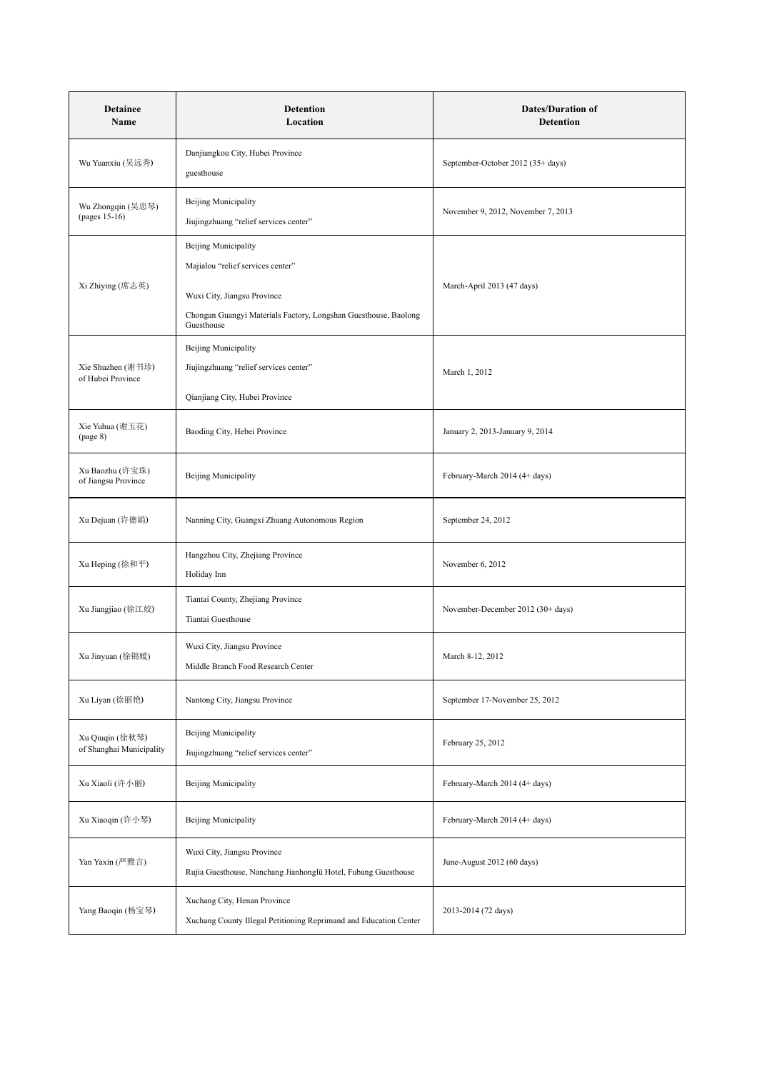| <b>Detainee</b><br>Name                     | <b>Detention</b><br>Location                                                                                                                                                     | <b>Dates/Duration of</b><br>Detention |
|---------------------------------------------|----------------------------------------------------------------------------------------------------------------------------------------------------------------------------------|---------------------------------------|
| Wu Yuanxiu (吴远秀)                            | Danjiangkou City, Hubei Province<br>guesthouse                                                                                                                                   | September-October 2012 (35+ days)     |
| Wu Zhongqin (吴忠琴)<br>(pages 15-16)          | <b>Beijing Municipality</b><br>Jiujingzhuang "relief services center"                                                                                                            | November 9, 2012, November 7, 2013    |
| Xi Zhiying (席志英)                            | <b>Beijing Municipality</b><br>Majialou "relief services center"<br>Wuxi City, Jiangsu Province<br>Chongan Guangyi Materials Factory, Longshan Guesthouse, Baolong<br>Guesthouse | March-April 2013 (47 days)            |
| Xie Shuzhen (谢书珍)<br>of Hubei Province      | <b>Beijing Municipality</b><br>Jiujingzhuang "relief services center"<br>Qianjiang City, Hubei Province                                                                          | March 1, 2012                         |
| Xie Yuhua (谢玉花)<br>(page 8)                 | Baoding City, Hebei Province                                                                                                                                                     | January 2, 2013-January 9, 2014       |
| Xu Baozhu (许宝珠)<br>of Jiangsu Province      | Beijing Municipality                                                                                                                                                             | February-March 2014 (4+ days)         |
| Xu Dejuan (许德娟)                             | Nanning City, Guangxi Zhuang Autonomous Region                                                                                                                                   | September 24, 2012                    |
| Xu Heping (徐和平)                             | Hangzhou City, Zhejiang Province<br>Holiday Inn                                                                                                                                  | November 6, 2012                      |
| Xu Jiangjiao (徐江姣)                          | Tiantai County, Zhejiang Province<br>Tiantai Guesthouse                                                                                                                          | November-December 2012 (30+ days)     |
| Xu Jinyuan (徐锦媛)                            | Wuxi City, Jiangsu Province<br>Middle Branch Food Research Center                                                                                                                | March 8-12, 2012                      |
| Xu Liyan (徐丽艳)                              | Nantong City, Jiangsu Province                                                                                                                                                   | September 17-November 25, 2012        |
| Xu Qiuqin (徐秋琴)<br>of Shanghai Municipality | <b>Beijing Municipality</b><br>Jiujingzhuang "relief services center"                                                                                                            | February 25, 2012                     |
| Xu Xiaoli (许小丽)                             | <b>Beijing Municipality</b>                                                                                                                                                      | February-March 2014 (4+ days)         |
| Xu Xiaoqin (许小琴)                            | <b>Beijing Municipality</b>                                                                                                                                                      | February-March 2014 (4+ days)         |
| Yan Yaxin (严雅言)                             | Wuxi City, Jiangsu Province<br>Rujia Guesthouse, Nanchang Jianhonglü Hotel, Fubang Guesthouse                                                                                    | June-August 2012 (60 days)            |
| Yang Baoqin (杨宝琴)                           | Xuchang City, Henan Province<br>Xuchang County Illegal Petitioning Reprimand and Education Center                                                                                | 2013-2014 (72 days)                   |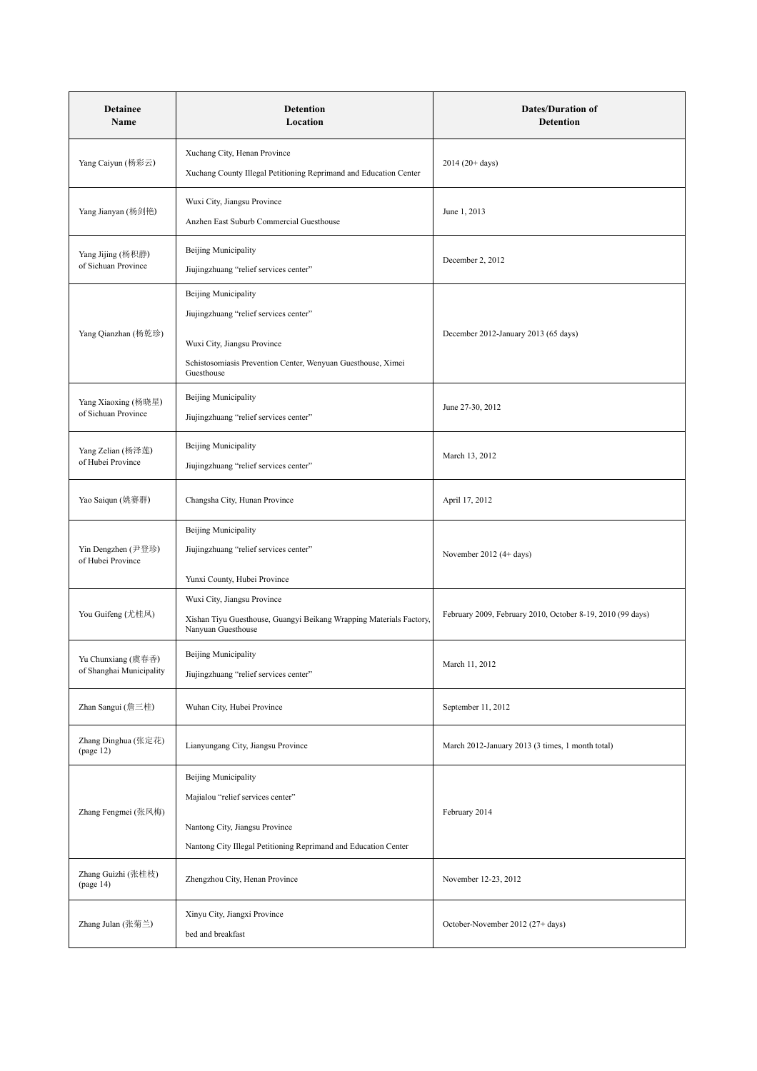| <b>Detainee</b><br>Name                        | Detention<br>Location                                                                                                                                                              | <b>Dates/Duration of</b><br><b>Detention</b>               |
|------------------------------------------------|------------------------------------------------------------------------------------------------------------------------------------------------------------------------------------|------------------------------------------------------------|
| Yang Caiyun (杨彩云)                              | Xuchang City, Henan Province<br>Xuchang County Illegal Petitioning Reprimand and Education Center                                                                                  | $2014(20+days)$                                            |
| Yang Jianyan (杨剑艳)                             | Wuxi City, Jiangsu Province<br>Anzhen East Suburb Commercial Guesthouse                                                                                                            | June 1, 2013                                               |
| Yang Jijing (杨积静)<br>of Sichuan Province       | <b>Beijing Municipality</b><br>Jiujingzhuang "relief services center"                                                                                                              | December 2, 2012                                           |
| Yang Qianzhan (杨乾珍)                            | <b>Beijing Municipality</b><br>Jiujingzhuang "relief services center"<br>Wuxi City, Jiangsu Province<br>Schistosomiasis Prevention Center, Wenyuan Guesthouse, Ximei<br>Guesthouse | December 2012-January 2013 (65 days)                       |
| Yang Xiaoxing (杨晓星)<br>of Sichuan Province     | <b>Beijing Municipality</b><br>Jiujingzhuang "relief services center"                                                                                                              | June 27-30, 2012                                           |
| Yang Zelian (杨泽莲)<br>of Hubei Province         | Beijing Municipality<br>Jiujingzhuang "relief services center"                                                                                                                     | March 13, 2012                                             |
| Yao Saiqun (姚赛群)                               | Changsha City, Hunan Province                                                                                                                                                      | April 17, 2012                                             |
| Yin Dengzhen (尹登珍)<br>of Hubei Province        | <b>Beijing Municipality</b><br>Jiujingzhuang "relief services center"<br>Yunxi County, Hubei Province                                                                              | November 2012 (4+ days)                                    |
| You Guifeng (尤桂凤)                              | Wuxi City, Jiangsu Province<br>Xishan Tiyu Guesthouse, Guangyi Beikang Wrapping Materials Factory,<br>Nanyuan Guesthouse                                                           | February 2009, February 2010, October 8-19, 2010 (99 days) |
| Yu Chunxiang (虞春香)<br>of Shanghai Municipality | Beijing Municipality<br>Jiujingzhuang "relief services center"                                                                                                                     | March 11, 2012                                             |
| Zhan Sangui (詹三桂)                              | Wuhan City, Hubei Province                                                                                                                                                         | September 11, 2012                                         |
| Zhang Dinghua (张定花)<br>(page 12)               | Lianyungang City, Jiangsu Province                                                                                                                                                 | March 2012-January 2013 (3 times, 1 month total)           |
| Zhang Fengmei (张凤梅)                            | <b>Beijing Municipality</b><br>Majialou "relief services center"<br>Nantong City, Jiangsu Province<br>Nantong City Illegal Petitioning Reprimand and Education Center              | February 2014                                              |
| Zhang Guizhi (张桂枝)<br>(page 14)                | Zhengzhou City, Henan Province                                                                                                                                                     | November 12-23, 2012                                       |
| Zhang Julan (张菊兰)                              | Xinyu City, Jiangxi Province<br>bed and breakfast                                                                                                                                  | October-November 2012 (27+ days)                           |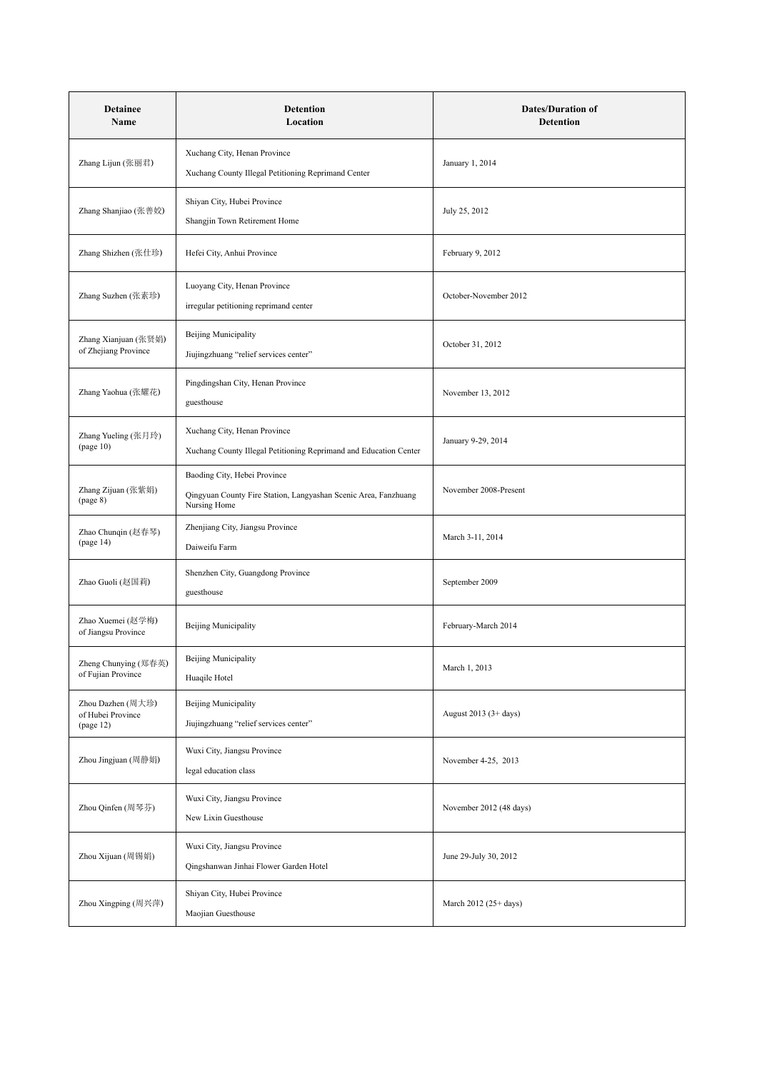| <b>Detainee</b><br>Name                             | <b>Detention</b><br>Location                                                                                    | <b>Dates/Duration of</b><br>Detention |
|-----------------------------------------------------|-----------------------------------------------------------------------------------------------------------------|---------------------------------------|
| Zhang Lijun (张丽君)                                   | Xuchang City, Henan Province<br>Xuchang County Illegal Petitioning Reprimand Center                             | January 1, 2014                       |
| Zhang Shanjiao (张善姣)                                | Shiyan City, Hubei Province<br>Shangjin Town Retirement Home                                                    | July 25, 2012                         |
| Zhang Shizhen (张仕珍)                                 | Hefei City, Anhui Province                                                                                      | February 9, 2012                      |
| Zhang Suzhen (张素珍)                                  | Luoyang City, Henan Province<br>irregular petitioning reprimand center                                          | October-November 2012                 |
| Zhang Xianjuan (张贤娟)<br>of Zhejiang Province        | Beijing Municipality<br>Jiujingzhuang "relief services center"                                                  | October 31, 2012                      |
| Zhang Yaohua (张耀花)                                  | Pingdingshan City, Henan Province<br>guesthouse                                                                 | November 13, 2012                     |
| Zhang Yueling (张月玲)<br>(page 10)                    | Xuchang City, Henan Province<br>Xuchang County Illegal Petitioning Reprimand and Education Center               | January 9-29, 2014                    |
| Zhang Zijuan (张紫娟)<br>(page 8)                      | Baoding City, Hebei Province<br>Qingyuan County Fire Station, Langyashan Scenic Area, Fanzhuang<br>Nursing Home | November 2008-Present                 |
| Zhao Chunqin (赵春琴)<br>(page 14)                     | Zhenjiang City, Jiangsu Province<br>Daiweifu Farm                                                               | March 3-11, 2014                      |
| Zhao Guoli (赵国莉)                                    | Shenzhen City, Guangdong Province<br>guesthouse                                                                 | September 2009                        |
| Zhao Xuemei (赵学梅)<br>of Jiangsu Province            | <b>Beijing Municipality</b>                                                                                     | February-March 2014                   |
| Zheng Chunying (郑春英)<br>of Fujian Province          | Beijing Municipality<br>Huaqile Hotel                                                                           | March 1, 2013                         |
| Zhou Dazhen (周大珍)<br>of Hubei Province<br>(page 12) | Beijing Municipality<br>Jiujingzhuang "relief services center"                                                  | August 2013 (3+ days)                 |
| Zhou Jingjuan (周静娟)                                 | Wuxi City, Jiangsu Province<br>legal education class                                                            | November 4-25, 2013                   |
| Zhou Qinfen (周琴芬)                                   | Wuxi City, Jiangsu Province<br>New Lixin Guesthouse                                                             | November 2012 (48 days)               |
| Zhou Xijuan (周锡娟)                                   | Wuxi City, Jiangsu Province<br>Qingshanwan Jinhai Flower Garden Hotel                                           | June 29-July 30, 2012                 |
| Zhou Xingping (周兴萍)                                 | Shiyan City, Hubei Province<br>Maojian Guesthouse                                                               | March 2012 (25+ days)                 |